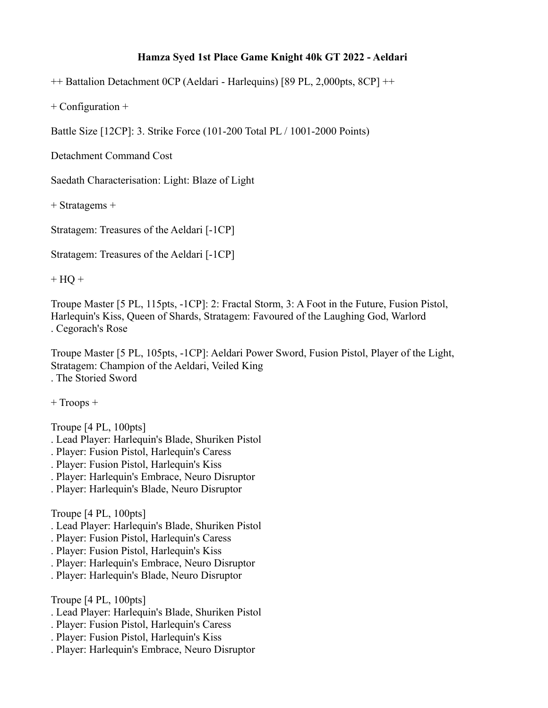## **Hamza Syed 1st Place Game Knight 40k GT 2022 - Aeldari**

++ Battalion Detachment 0CP (Aeldari - Harlequins) [89 PL, 2,000pts, 8CP] ++

+ Configuration +

Battle Size [12CP]: 3. Strike Force (101-200 Total PL / 1001-2000 Points)

Detachment Command Cost

Saedath Characterisation: Light: Blaze of Light

+ Stratagems +

Stratagem: Treasures of the Aeldari [-1CP]

Stratagem: Treasures of the Aeldari [-1CP]

 $+ HQ +$ 

Troupe Master [5 PL, 115pts, -1CP]: 2: Fractal Storm, 3: A Foot in the Future, Fusion Pistol, Harlequin's Kiss, Queen of Shards, Stratagem: Favoured of the Laughing God, Warlord . Cegorach's Rose

Troupe Master [5 PL, 105pts, -1CP]: Aeldari Power Sword, Fusion Pistol, Player of the Light, Stratagem: Champion of the Aeldari, Veiled King . The Storied Sword

+ Troops +

Troupe [4 PL, 100pts]

- . Lead Player: Harlequin's Blade, Shuriken Pistol
- . Player: Fusion Pistol, Harlequin's Caress
- . Player: Fusion Pistol, Harlequin's Kiss
- . Player: Harlequin's Embrace, Neuro Disruptor
- . Player: Harlequin's Blade, Neuro Disruptor

Troupe [4 PL, 100pts]

- . Lead Player: Harlequin's Blade, Shuriken Pistol
- . Player: Fusion Pistol, Harlequin's Caress
- . Player: Fusion Pistol, Harlequin's Kiss
- . Player: Harlequin's Embrace, Neuro Disruptor
- . Player: Harlequin's Blade, Neuro Disruptor

Troupe [4 PL, 100pts]

- . Lead Player: Harlequin's Blade, Shuriken Pistol
- . Player: Fusion Pistol, Harlequin's Caress
- . Player: Fusion Pistol, Harlequin's Kiss
- . Player: Harlequin's Embrace, Neuro Disruptor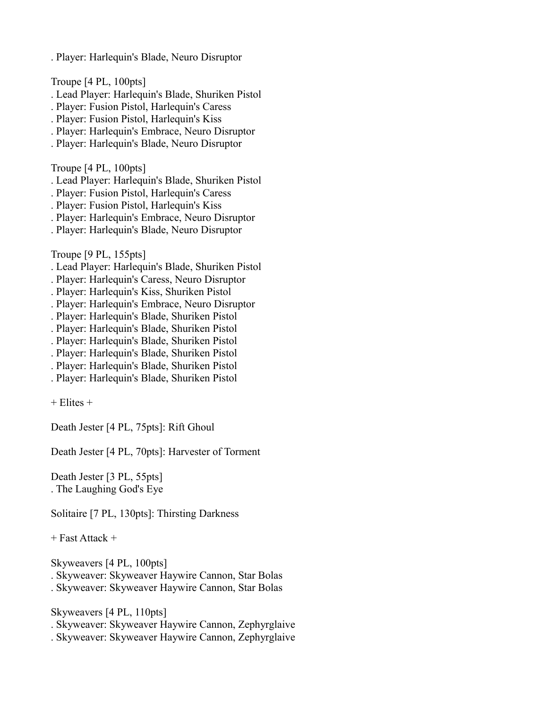. Player: Harlequin's Blade, Neuro Disruptor

Troupe [4 PL, 100pts]

- . Lead Player: Harlequin's Blade, Shuriken Pistol
- . Player: Fusion Pistol, Harlequin's Caress
- . Player: Fusion Pistol, Harlequin's Kiss
- . Player: Harlequin's Embrace, Neuro Disruptor
- . Player: Harlequin's Blade, Neuro Disruptor

Troupe [4 PL, 100pts]

- . Lead Player: Harlequin's Blade, Shuriken Pistol
- . Player: Fusion Pistol, Harlequin's Caress
- . Player: Fusion Pistol, Harlequin's Kiss
- . Player: Harlequin's Embrace, Neuro Disruptor
- . Player: Harlequin's Blade, Neuro Disruptor

Troupe [9 PL, 155pts]

- . Lead Player: Harlequin's Blade, Shuriken Pistol
- . Player: Harlequin's Caress, Neuro Disruptor
- . Player: Harlequin's Kiss, Shuriken Pistol
- . Player: Harlequin's Embrace, Neuro Disruptor
- . Player: Harlequin's Blade, Shuriken Pistol
- . Player: Harlequin's Blade, Shuriken Pistol
- . Player: Harlequin's Blade, Shuriken Pistol
- . Player: Harlequin's Blade, Shuriken Pistol
- . Player: Harlequin's Blade, Shuriken Pistol
- . Player: Harlequin's Blade, Shuriken Pistol

 $+$  Elites  $+$ 

Death Jester [4 PL, 75pts]: Rift Ghoul

Death Jester [4 PL, 70pts]: Harvester of Torment

Death Jester [3 PL, 55pts] . The Laughing God's Eye

Solitaire [7 PL, 130pts]: Thirsting Darkness

+ Fast Attack +

Skyweavers [4 PL, 100pts]

. Skyweaver: Skyweaver Haywire Cannon, Star Bolas

. Skyweaver: Skyweaver Haywire Cannon, Star Bolas

Skyweavers [4 PL, 110pts]

- . Skyweaver: Skyweaver Haywire Cannon, Zephyrglaive
- . Skyweaver: Skyweaver Haywire Cannon, Zephyrglaive